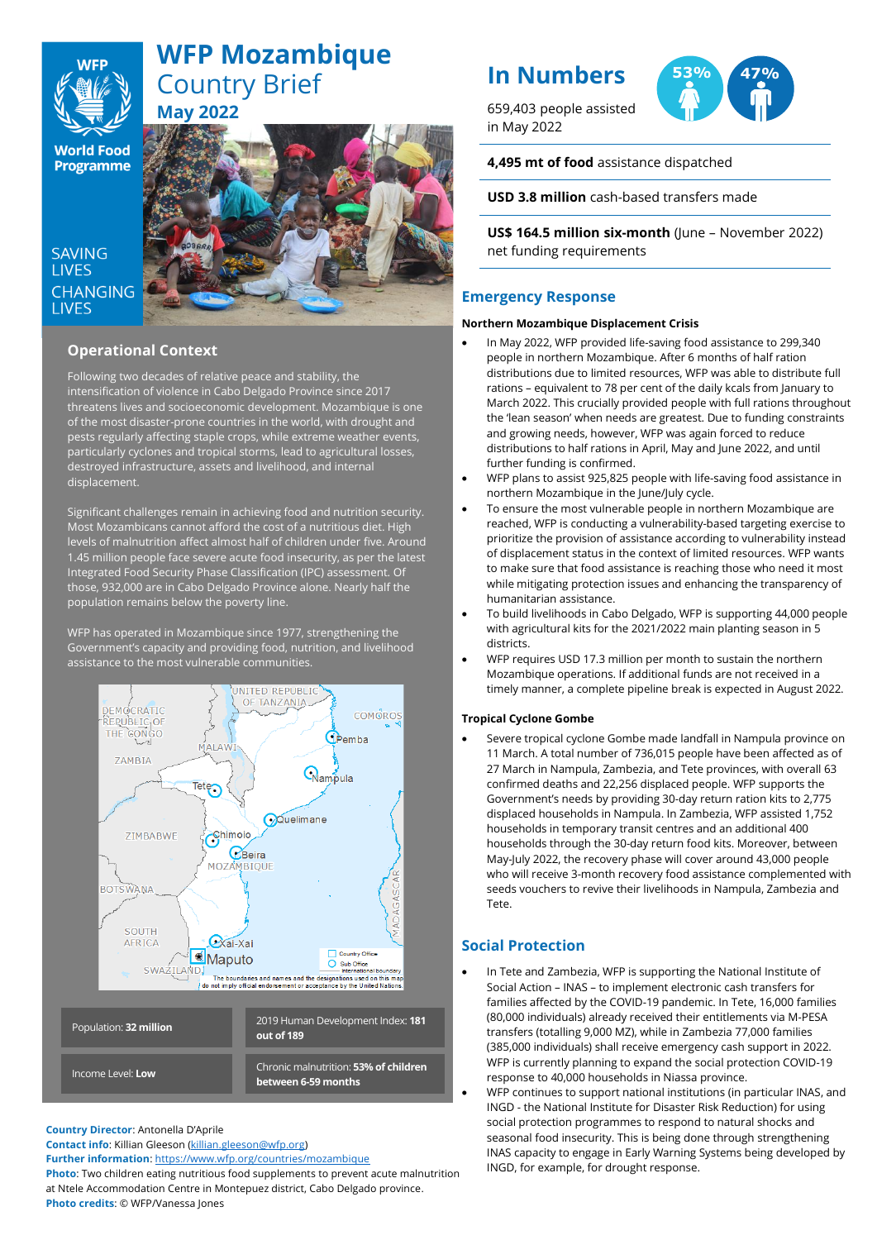

# **WFP Mozambique** Country Brief **May 2022**

**World Food Programme** 

SAVING **TIVES CHANGING I IVES** hfhhfhabbsad



# **Operational Context**

Following two decades of relative peace and stability, the intensification of violence in Cabo Delgado Province since 2017 threatens lives and socioeconomic development. Mozambique is one of the most disaster-prone countries in the world, with drought and pests regularly affecting staple crops, while extreme weather events, particularly cyclones and tropical storms, lead to agricultural losses, destroyed infrastructure, assets and livelihood, and internal displacement.

Significant challenges remain in achieving food and nutrition security. Most Mozambicans cannot afford the cost of a nutritious diet. High levels of malnutrition affect almost half of children under five. Around 1.45 million people face severe acute food insecurity, as per the latest Integrated Food Security Phase Classification (IPC) assessment. Of those, 932,000 are in Cabo Delgado Province alone. Nearly half the population remains below the poverty line.

WFP has operated in Mozambique since 1977, strengthening the Government's capacity and providing food, nutrition, and livelihood assistance to the most vulnerable communities.



**Country Director**: Antonella D'Aprile

**Contact info**: Killian Gleeson [\(killian.gleeson@wfp.org\)](mailto:killian.gleeson@wfp.org)

**Further information**: <https://www.wfp.org/countries/mozambique>

**Photo**: Two children eating nutritious food supplements to prevent acute malnutrition at Ntele Accommodation Centre in Montepuez district, Cabo Delgado province. **Photo credits**: © WFP/Vanessa Jones

# **In Numbers**

659,403 people assisted in May 2022



**4,495 mt of food** assistance dispatched

**USD 3.8 million** cash-based transfers made

**US\$ 164.5 million six-month** (June – November 2022) net funding requirements

# **Emergency Response**

#### **Northern Mozambique Displacement Crisis**

- In May 2022, WFP provided life-saving food assistance to 299,340 people in northern Mozambique. After 6 months of half ration distributions due to limited resources, WFP was able to distribute full rations – equivalent to 78 per cent of the daily kcals from January to March 2022. This crucially provided people with full rations throughout the 'lean season' when needs are greatest. Due to funding constraints and growing needs, however, WFP was again forced to reduce distributions to half rations in April, May and June 2022, and until further funding is confirmed.
- WFP plans to assist 925,825 people with life-saving food assistance in northern Mozambique in the June/July cycle.
- To ensure the most vulnerable people in northern Mozambique are reached, WFP is conducting a vulnerability-based targeting exercise to prioritize the provision of assistance according to vulnerability instead of displacement status in the context of limited resources. WFP wants to make sure that food assistance is reaching those who need it most while mitigating protection issues and enhancing the transparency of humanitarian assistance.
- To build livelihoods in Cabo Delgado, WFP is supporting 44,000 people with agricultural kits for the 2021/2022 main planting season in 5 districts.
- WFP requires USD 17.3 million per month to sustain the northern Mozambique operations. If additional funds are not received in a timely manner, a complete pipeline break is expected in August 2022.

## **Tropical Cyclone Gombe**

• Severe tropical cyclone Gombe made landfall in Nampula province on 11 March. A total number of 736,015 people have been affected as of 27 March in Nampula, Zambezia, and Tete provinces, with overall 63 confirmed deaths and 22,256 displaced people. WFP supports the Government's needs by providing 30-day return ration kits to 2,775 displaced households in Nampula. In Zambezia, WFP assisted 1,752 households in temporary transit centres and an additional 400 households through the 30-day return food kits. Moreover, between May-July 2022, the recovery phase will cover around 43,000 people who will receive 3-month recovery food assistance complemented with seeds vouchers to revive their livelihoods in Nampula, Zambezia and Tete.

# **Social Protection**

- In Tete and Zambezia, WFP is supporting the National Institute of Social Action – INAS – to implement electronic cash transfers for families affected by the COVID-19 pandemic. In Tete, 16,000 families (80,000 individuals) already received their entitlements via M-PESA transfers (totalling 9,000 MZ), while in Zambezia 77,000 families (385,000 individuals) shall receive emergency cash support in 2022. WFP is currently planning to expand the social protection COVID-19 response to 40,000 households in Niassa province.
- WFP continues to support national institutions (in particular INAS, and INGD - the National Institute for Disaster Risk Reduction) for using social protection programmes to respond to natural shocks and seasonal food insecurity. This is being done through strengthening INAS capacity to engage in Early Warning Systems being developed by INGD, for example, for drought response.